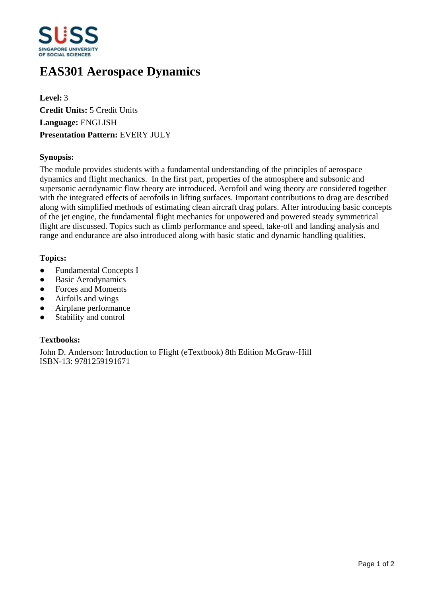

# **EAS301 Aerospace Dynamics**

**Level:** 3 **Credit Units:** 5 Credit Units **Language:** ENGLISH **Presentation Pattern:** EVERY JULY

# **Synopsis:**

The module provides students with a fundamental understanding of the principles of aerospace dynamics and flight mechanics. In the first part, properties of the atmosphere and subsonic and supersonic aerodynamic flow theory are introduced. Aerofoil and wing theory are considered together with the integrated effects of aerofoils in lifting surfaces. Important contributions to drag are described along with simplified methods of estimating clean aircraft drag polars. After introducing basic concepts of the jet engine, the fundamental flight mechanics for unpowered and powered steady symmetrical flight are discussed. Topics such as climb performance and speed, take-off and landing analysis and range and endurance are also introduced along with basic static and dynamic handling qualities.

# **Topics:**

- Fundamental Concepts I
- Basic Aerodynamics
- Forces and Moments
- Airfoils and wings
- Airplane performance
- Stability and control

# **Textbooks:**

John D. Anderson: Introduction to Flight (eTextbook) 8th Edition McGraw-Hill ISBN-13: 9781259191671